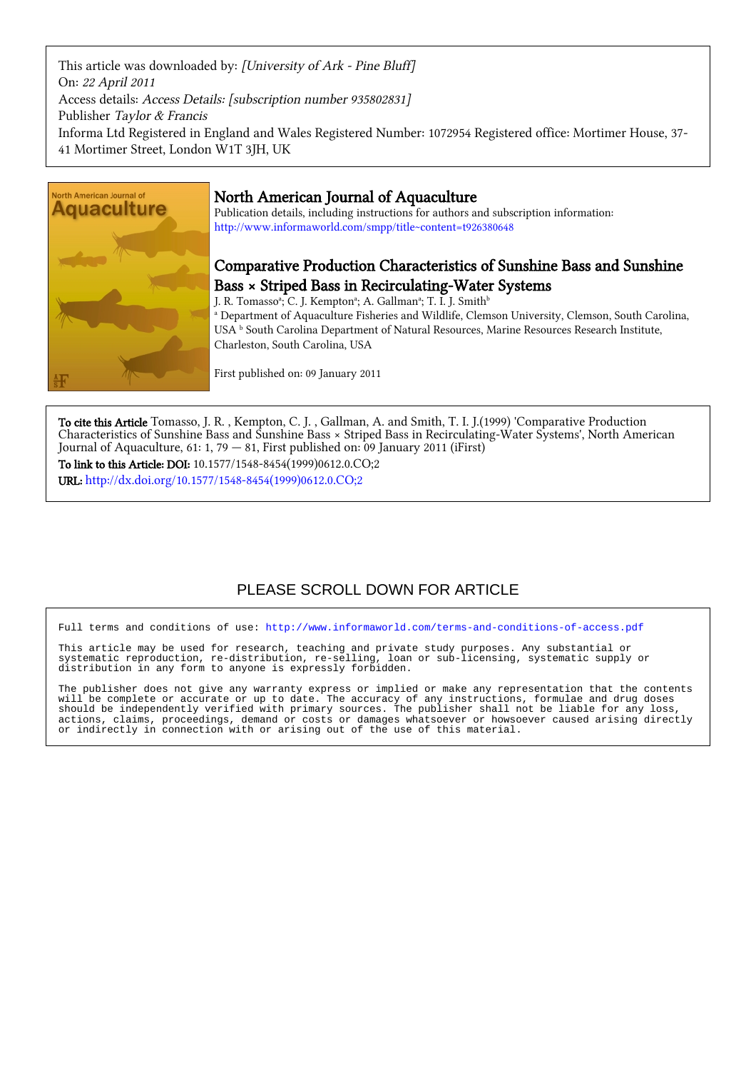This article was downloaded by: [University of Ark - Pine Bluff] On: 22 April 2011 Access details: Access Details: [subscription number 935802831] Publisher Taylor & Francis Informa Ltd Registered in England and Wales Registered Number: 1072954 Registered office: Mortimer House, 37- 41 Mortimer Street, London W1T 3JH, UK



## North American Journal of Aquaculture

Publication details, including instructions for authors and subscription information: <http://www.informaworld.com/smpp/title~content=t926380648>

# Comparative Production Characteristics of Sunshine Bass and Sunshine Bass × Striped Bass in Recirculating-Water Systems

J. R. Tomassoª; C. J. Kemptonª; A. Gallmanª; T. I. J. Smith $^{\rm b}$ a Department of Aquaculture Fisheries and Wildlife, Clemson University, Clemson, South Carolina, USA <sup>b</sup> South Carolina Department of Natural Resources, Marine Resources Research Institute,

Charleston, South Carolina, USA

First published on: 09 January 2011

To cite this Article Tomasso, J. R. , Kempton, C. J. , Gallman, A. and Smith, T. I. J.(1999) 'Comparative Production Characteristics of Sunshine Bass and Sunshine Bass × Striped Bass in Recirculating-Water Systems', North American Journal of Aquaculture, 61: 1, 79 — 81, First published on: 09 January 2011 (iFirst) To link to this Article: DOI: 10.1577/1548-8454(1999)0612.0.CO;2

URL: [http://dx.doi.org/10.1577/1548-8454\(1999\)0612.0.CO;2](http://dx.doi.org/10.1577/1548-8454(1999)0612.0.CO;2)

# PLEASE SCROLL DOWN FOR ARTICLE

Full terms and conditions of use:<http://www.informaworld.com/terms-and-conditions-of-access.pdf>

This article may be used for research, teaching and private study purposes. Any substantial or systematic reproduction, re-distribution, re-selling, loan or sub-licensing, systematic supply or distribution in any form to anyone is expressly forbidden.

The publisher does not give any warranty express or implied or make any representation that the contents will be complete or accurate or up to date. The accuracy of any instructions, formulae and drug doses should be independently verified with primary sources. The publisher shall not be liable for any loss, actions, claims, proceedings, demand or costs or damages whatsoever or howsoever caused arising directly or indirectly in connection with or arising out of the use of this material.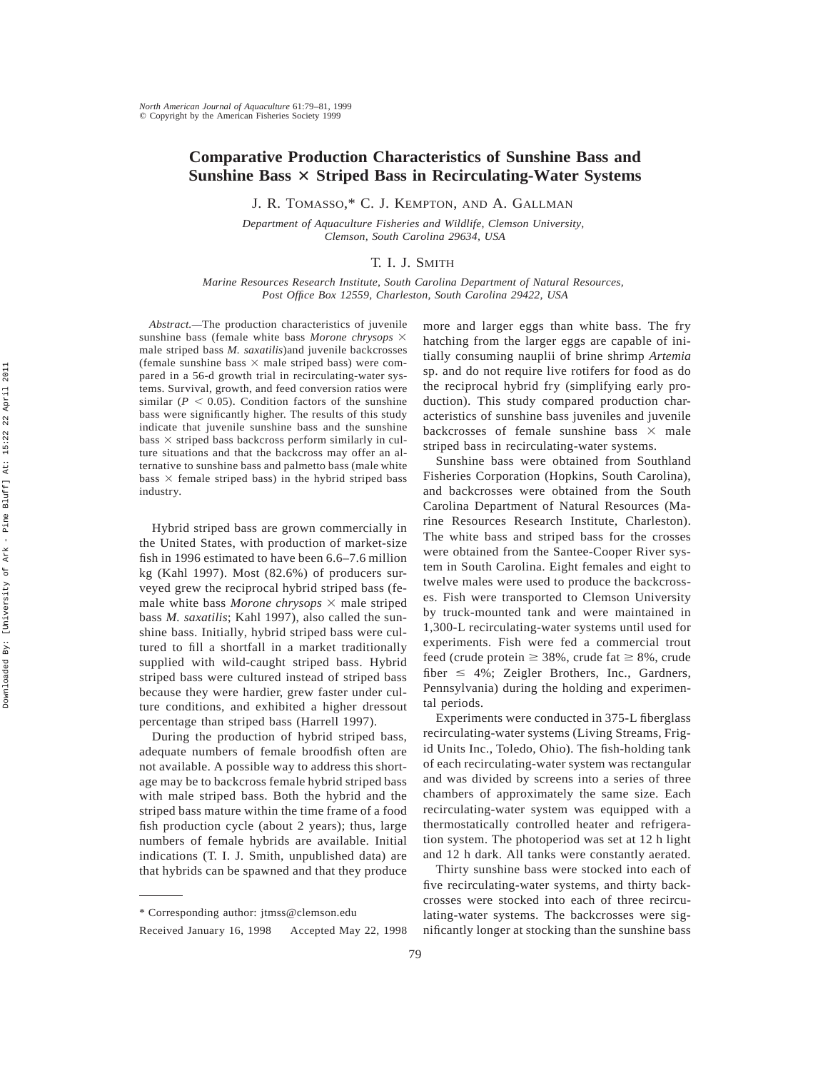### **Comparative Production Characteristics of Sunshine Bass and Sunshine Bass** 3 **Striped Bass in Recirculating-Water Systems**

J. R. TOMASSO,\* C. J. KEMPTON, AND A. GALLMAN

*Department of Aquaculture Fisheries and Wildlife, Clemson University, Clemson, South Carolina 29634, USA*

### T. I. J. SMITH

*Marine Resources Research Institute, South Carolina Department of Natural Resources, Post Office Box 12559, Charleston, South Carolina 29422, USA*

*Abstract.—*The production characteristics of juvenile sunshine bass (female white bass *Morone chrysops*  $\times$ male striped bass *M. saxatilis*)and juvenile backcrosses (female sunshine bass  $\times$  male striped bass) were compared in a 56-d growth trial in recirculating-water systems. Survival, growth, and feed conversion ratios were similar ( $P < 0.05$ ). Condition factors of the sunshine bass were significantly higher. The results of this study indicate that juvenile sunshine bass and the sunshine bass  $\times$  striped bass backcross perform similarly in culture situations and that the backcross may offer an alternative to sunshine bass and palmetto bass (male white bass  $\times$  female striped bass) in the hybrid striped bass industry.

Hybrid striped bass are grown commercially in the United States, with production of market-size fish in 1996 estimated to have been 6.6–7.6 million kg (Kahl 1997). Most (82.6%) of producers surveyed grew the reciprocal hybrid striped bass (female white bass *Morone chrysops*  $\times$  male striped bass *M. saxatilis*; Kahl 1997), also called the sunshine bass. Initially, hybrid striped bass were cultured to fill a shortfall in a market traditionally supplied with wild-caught striped bass. Hybrid striped bass were cultured instead of striped bass because they were hardier, grew faster under culture conditions, and exhibited a higher dressout percentage than striped bass (Harrell 1997).

During the production of hybrid striped bass, adequate numbers of female broodfish often are not available. A possible way to address this shortage may be to backcross female hybrid striped bass with male striped bass. Both the hybrid and the striped bass mature within the time frame of a food fish production cycle (about 2 years); thus, large numbers of female hybrids are available. Initial indications (T. I. J. Smith, unpublished data) are that hybrids can be spawned and that they produce

more and larger eggs than white bass. The fry hatching from the larger eggs are capable of initially consuming nauplii of brine shrimp *Artemia* sp. and do not require live rotifers for food as do the reciprocal hybrid fry (simplifying early production). This study compared production characteristics of sunshine bass juveniles and juvenile backcrosses of female sunshine bass  $\times$  male striped bass in recirculating-water systems.

Sunshine bass were obtained from Southland Fisheries Corporation (Hopkins, South Carolina), and backcrosses were obtained from the South Carolina Department of Natural Resources (Marine Resources Research Institute, Charleston). The white bass and striped bass for the crosses were obtained from the Santee-Cooper River system in South Carolina. Eight females and eight to twelve males were used to produce the backcrosses. Fish were transported to Clemson University by truck-mounted tank and were maintained in 1,300-L recirculating-water systems until used for experiments. Fish were fed a commercial trout feed (crude protein  $\geq 38\%$ , crude fat  $\geq 8\%$ , crude fiber  $\leq$  4%; Zeigler Brothers, Inc., Gardners, Pennsylvania) during the holding and experimental periods.

Experiments were conducted in 375-L fiberglass recirculating-water systems (Living Streams, Frigid Units Inc., Toledo, Ohio). The fish-holding tank of each recirculating-water system was rectangular and was divided by screens into a series of three chambers of approximately the same size. Each recirculating-water system was equipped with a thermostatically controlled heater and refrigeration system. The photoperiod was set at 12 h light and 12 h dark. All tanks were constantly aerated.

Thirty sunshine bass were stocked into each of five recirculating-water systems, and thirty backcrosses were stocked into each of three recirculating-water systems. The backcrosses were significantly longer at stocking than the sunshine bass

<sup>\*</sup> Corresponding author: jtmss@clemson.edu

Received January 16, 1998 Accepted May 22, 1998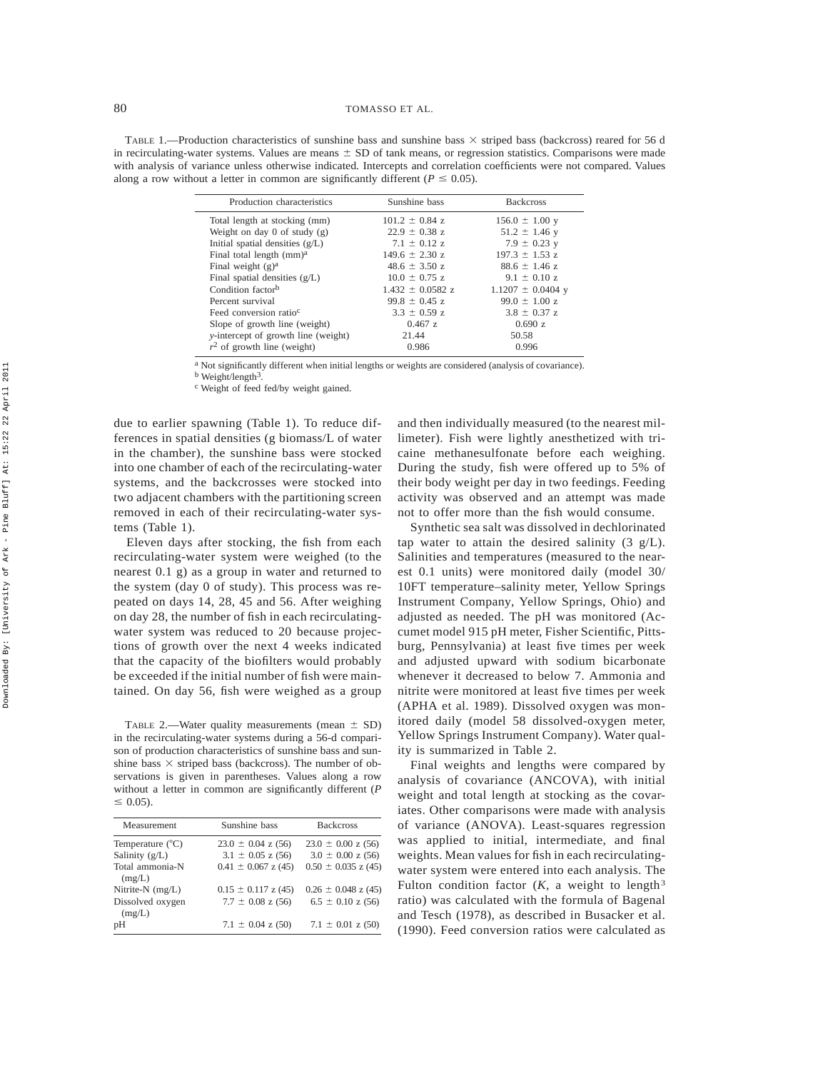TABLE 1.—Production characteristics of sunshine bass and sunshine bass  $\times$  striped bass (backcross) reared for 56 d in recirculating-water systems. Values are means  $\pm$  SD of tank means, or regression statistics. Comparisons were made with analysis of variance unless otherwise indicated. Intercepts and correlation coefficients were not compared. Values along a row without a letter in common are significantly different ( $P \le 0.05$ ).

| Production characteristics                  | Sunshine bass        | <b>Backcross</b>      |
|---------------------------------------------|----------------------|-----------------------|
| Total length at stocking (mm)               | $101.2 \pm 0.84$ z   | $156.0 \pm 1.00$ y    |
| Weight on day 0 of study $(g)$              | $22.9 \pm 0.38$ z    | $51.2 \pm 1.46$ y     |
| Initial spatial densities $(g/L)$           | $7.1 \pm 0.12$ z     | $7.9 \pm 0.23$ y      |
| Final total length (mm) <sup>a</sup>        | $149.6 \pm 2.30$ z   | $197.3 \pm 1.53$ z    |
| Final weight $(g)^a$                        | $48.6 \pm 3.50$ z    | $88.6 \pm 1.46$ z     |
| Final spatial densities $(g/L)$             | $10.0 \pm 0.75$ z    | $9.1 \pm 0.10$ z      |
| Condition factor <sup>b</sup>               | $1.432 \pm 0.0582$ z | $1.1207 \pm 0.0404$ y |
| Percent survival                            | $99.8 \pm 0.45$ z    | $99.0 \pm 1.00$ z     |
| Feed conversion ratio <sup>c</sup>          | $3.3 \pm 0.59$ z     | $3.8 \pm 0.37$ z      |
| Slope of growth line (weight)               | 0.467z               | 0.690 z               |
| <i>v</i> -intercept of growth line (weight) | 21.44                | 50.58                 |
| $r^2$ of growth line (weight)               | 0.986                | 0.996                 |

<sup>a</sup> Not significantly different when initial lengths or weights are considered (analysis of covariance).

b Weight/length3.

c Weight of feed fed/by weight gained.

due to earlier spawning (Table 1). To reduce differences in spatial densities (g biomass/L of water in the chamber), the sunshine bass were stocked into one chamber of each of the recirculating-water systems, and the backcrosses were stocked into two adjacent chambers with the partitioning screen removed in each of their recirculating-water systems (Table 1).

Eleven days after stocking, the fish from each recirculating-water system were weighed (to the nearest 0.1 g) as a group in water and returned to the system (day 0 of study). This process was repeated on days 14, 28, 45 and 56. After weighing on day 28, the number of fish in each recirculatingwater system was reduced to 20 because projections of growth over the next 4 weeks indicated that the capacity of the biofilters would probably be exceeded if the initial number of fish were maintained. On day 56, fish were weighed as a group

TABLE 2.—Water quality measurements (mean  $\pm$  SD) in the recirculating-water systems during a 56-d comparison of production characteristics of sunshine bass and sunshine bass  $\times$  striped bass (backcross). The number of observations is given in parentheses. Values along a row without a letter in common are significantly different (*P*  $\leq 0.05$ ).

| Measurement                | Sunshine bass           | <b>Backcross</b>        |
|----------------------------|-------------------------|-------------------------|
| Temperature $(^{\circ}C)$  | $23.0 \pm 0.04$ z (56)  | $23.0 \pm 0.00$ z (56)  |
| Salinity (g/L)             | $3.1 \pm 0.05$ z (56)   | $3.0 \pm 0.00$ z (56)   |
| Total ammonia-N            | $0.41 \pm 0.067$ z (45) | $0.50 \pm 0.035$ z (45) |
| (mg/L)                     |                         |                         |
| Nitrite-N (mg/L)           | $0.15 \pm 0.117$ z (45) | $0.26 \pm 0.048$ z (45) |
| Dissolved oxygen<br>(mg/L) | $7.7 \pm 0.08$ z (56)   | $6.5 \pm 0.10$ z (56)   |
| pH                         | $7.1 \pm 0.04$ z (50)   | $7.1 \pm 0.01$ z (50)   |
|                            |                         |                         |

and then individually measured (to the nearest millimeter). Fish were lightly anesthetized with tricaine methanesulfonate before each weighing. During the study, fish were offered up to 5% of their body weight per day in two feedings. Feeding activity was observed and an attempt was made not to offer more than the fish would consume.

Synthetic sea salt was dissolved in dechlorinated tap water to attain the desired salinity  $(3 \text{ g/L}).$ Salinities and temperatures (measured to the nearest 0.1 units) were monitored daily (model 30/ 10FT temperature–salinity meter, Yellow Springs Instrument Company, Yellow Springs, Ohio) and adjusted as needed. The pH was monitored (Accumet model 915 pH meter, Fisher Scientific, Pittsburg, Pennsylvania) at least five times per week and adjusted upward with sodium bicarbonate whenever it decreased to below 7. Ammonia and nitrite were monitored at least five times per week (APHA et al. 1989). Dissolved oxygen was monitored daily (model 58 dissolved-oxygen meter, Yellow Springs Instrument Company). Water quality is summarized in Table 2.

Final weights and lengths were compared by analysis of covariance (ANCOVA), with initial weight and total length at stocking as the covariates. Other comparisons were made with analysis of variance (ANOVA). Least-squares regression was applied to initial, intermediate, and final weights. Mean values for fish in each recirculatingwater system were entered into each analysis. The Fulton condition factor  $(K, a$  weight to length<sup>3</sup> ratio) was calculated with the formula of Bagenal and Tesch (1978), as described in Busacker et al. (1990). Feed conversion ratios were calculated as